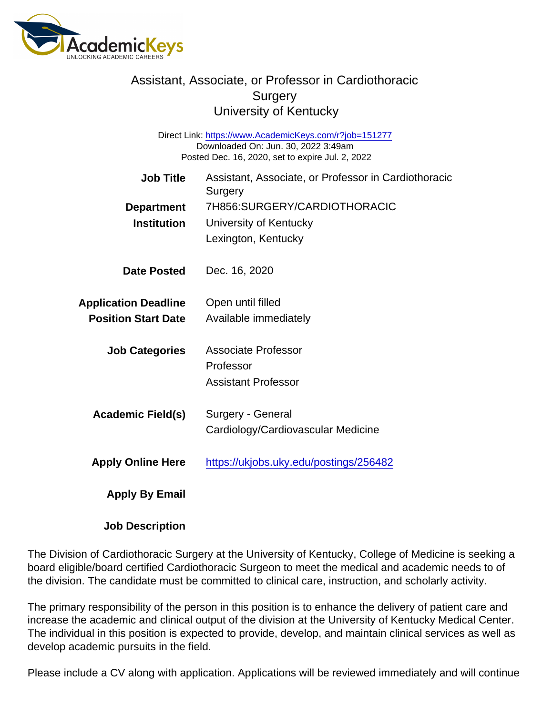## Assistant, Associate, or Professor in Cardiothoracic **Surgery** University of Kentucky

Direct Link: <https://www.AcademicKeys.com/r?job=151277> Downloaded On: Jun. 30, 2022 3:49am Posted Dec. 16, 2020, set to expire Jul. 2, 2022

| Job Title                   | Assistant, Associate, or Professor in Cardiothoracic<br>Surgery |
|-----------------------------|-----------------------------------------------------------------|
| Department                  | 7H856: SURGERY/CARDIOTHORACIC                                   |
| Institution                 | University of Kentucky                                          |
|                             | Lexington, Kentucky                                             |
| Date Posted                 | Dec. 16, 2020                                                   |
| <b>Application Deadline</b> | Open until filled                                               |
| <b>Position Start Date</b>  | Available immediately                                           |
| <b>Job Categories</b>       | Associate Professor                                             |
|                             | Professor                                                       |
|                             | <b>Assistant Professor</b>                                      |
| Academic Field(s)           | Surgery - General                                               |
|                             | Cardiology/Cardiovascular Medicine                              |
| <b>Apply Online Here</b>    | https://ukjobs.uky.edu/postings/256482                          |
| Apply By Email              |                                                                 |

Job Description

The Division of Cardiothoracic Surgery at the University of Kentucky, College of Medicine is seeking a board eligible/board certified Cardiothoracic Surgeon to meet the medical and academic needs to of the division. The candidate must be committed to clinical care, instruction, and scholarly activity.

The primary responsibility of the person in this position is to enhance the delivery of patient care and increase the academic and clinical output of the division at the University of Kentucky Medical Center. The individual in this position is expected to provide, develop, and maintain clinical services as well as develop academic pursuits in the field.

Please include a CV along with application. Applications will be reviewed immediately and will continue